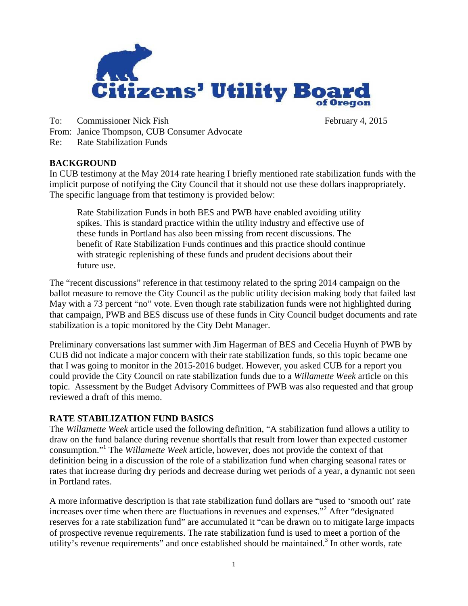

To: Commissioner Nick Fish February 4, 2015

From: Janice Thompson, CUB Consumer Advocate

Re: Rate Stabilization Funds

**BACKGROUND** 

In CUB testimony at the May 2014 rate hearing I briefly mentioned rate stabilization funds with the implicit purpose of notifying the City Council that it should not use these dollars inappropriately. The specific language from that testimony is provided below:

Rate Stabilization Funds in both BES and PWB have enabled avoiding utility spikes. This is standard practice within the utility industry and effective use of these funds in Portland has also been missing from recent discussions. The benefit of Rate Stabilization Funds continues and this practice should continue with strategic replenishing of these funds and prudent decisions about their future use.

The "recent discussions" reference in that testimony related to the spring 2014 campaign on the ballot measure to remove the City Council as the public utility decision making body that failed last May with a 73 percent "no" vote. Even though rate stabilization funds were not highlighted during that campaign, PWB and BES discuss use of these funds in City Council budget documents and rate stabilization is a topic monitored by the City Debt Manager.

Preliminary conversations last summer with Jim Hagerman of BES and Cecelia Huynh of PWB by CUB did not indicate a major concern with their rate stabilization funds, so this topic became one that I was going to monitor in the 2015-2016 budget. However, you asked CUB for a report you could provide the City Council on rate stabilization funds due to a *Willamette Week* article on this topic. Assessment by the Budget Advisory Committees of PWB was also requested and that group reviewed a draft of this memo.

## **RATE STABILIZATION FUND BASICS**

The *Willamette Week* article used the following definition*,* "A stabilization fund allows a utility to draw on the fund balance during revenue shortfalls that result from lower than expected customer consumption."<sup>1</sup> The *Willamette Week* article, however, does not provide the context of that definition being in a discussion of the role of a stabilization fund when charging seasonal rates or rates that increase during dry periods and decrease during wet periods of a year, a dynamic not seen in Portland rates.

A more informative description is that rate stabilization fund dollars are "used to 'smooth out' rate increases over time when there are fluctuations in revenues and expenses."<sup>2</sup> After "designated reserves for a rate stabilization fund" are accumulated it "can be drawn on to mitigate large impacts of prospective revenue requirements. The rate stabilization fund is used to meet a portion of the utility's revenue requirements" and once established should be maintained.<sup>3</sup> In other words, rate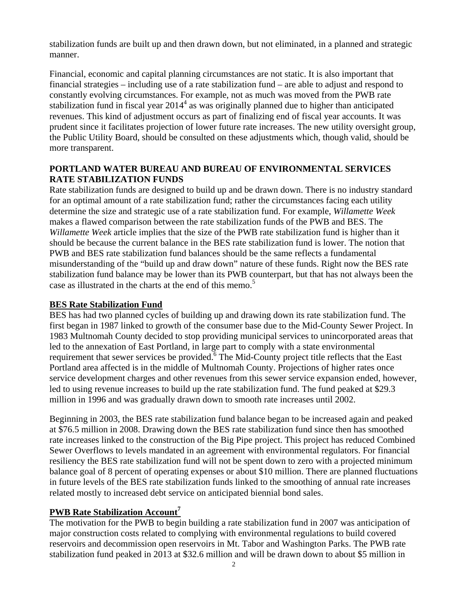stabilization funds are built up and then drawn down, but not eliminated, in a planned and strategic manner.

Financial, economic and capital planning circumstances are not static. It is also important that financial strategies – including use of a rate stabilization fund – are able to adjust and respond to constantly evolving circumstances. For example, not as much was moved from the PWB rate stabilization fund in fiscal year  $2014<sup>4</sup>$  as was originally planned due to higher than anticipated revenues. This kind of adjustment occurs as part of finalizing end of fiscal year accounts. It was prudent since it facilitates projection of lower future rate increases. The new utility oversight group, the Public Utility Board, should be consulted on these adjustments which, though valid, should be more transparent.

## **PORTLAND WATER BUREAU AND BUREAU OF ENVIRONMENTAL SERVICES RATE STABILIZATION FUNDS**

Rate stabilization funds are designed to build up and be drawn down. There is no industry standard for an optimal amount of a rate stabilization fund; rather the circumstances facing each utility determine the size and strategic use of a rate stabilization fund. For example, *Willamette Week* makes a flawed comparison between the rate stabilization funds of the PWB and BES. The *Willamette Week* article implies that the size of the PWB rate stabilization fund is higher than it should be because the current balance in the BES rate stabilization fund is lower. The notion that PWB and BES rate stabilization fund balances should be the same reflects a fundamental misunderstanding of the "build up and draw down" nature of these funds. Right now the BES rate stabilization fund balance may be lower than its PWB counterpart, but that has not always been the case as illustrated in the charts at the end of this memo.<sup>5</sup>

## **BES Rate Stabilization Fund**

BES has had two planned cycles of building up and drawing down its rate stabilization fund. The first began in 1987 linked to growth of the consumer base due to the Mid-County Sewer Project. In 1983 Multnomah County decided to stop providing municipal services to unincorporated areas that led to the annexation of East Portland, in large part to comply with a state environmental requirement that sewer services be provided.  $6 \text{ The Mid-Country project title reflects that the East}$ Portland area affected is in the middle of Multnomah County. Projections of higher rates once service development charges and other revenues from this sewer service expansion ended, however, led to using revenue increases to build up the rate stabilization fund. The fund peaked at \$29.3 million in 1996 and was gradually drawn down to smooth rate increases until 2002.

Beginning in 2003, the BES rate stabilization fund balance began to be increased again and peaked at \$76.5 million in 2008. Drawing down the BES rate stabilization fund since then has smoothed rate increases linked to the construction of the Big Pipe project. This project has reduced Combined Sewer Overflows to levels mandated in an agreement with environmental regulators. For financial resiliency the BES rate stabilization fund will not be spent down to zero with a projected minimum balance goal of 8 percent of operating expenses or about \$10 million. There are planned fluctuations in future levels of the BES rate stabilization funds linked to the smoothing of annual rate increases related mostly to increased debt service on anticipated biennial bond sales.

## **PWB Rate Stabilization Account<sup>7</sup>**

The motivation for the PWB to begin building a rate stabilization fund in 2007 was anticipation of major construction costs related to complying with environmental regulations to build covered reservoirs and decommission open reservoirs in Mt. Tabor and Washington Parks. The PWB rate stabilization fund peaked in 2013 at \$32.6 million and will be drawn down to about \$5 million in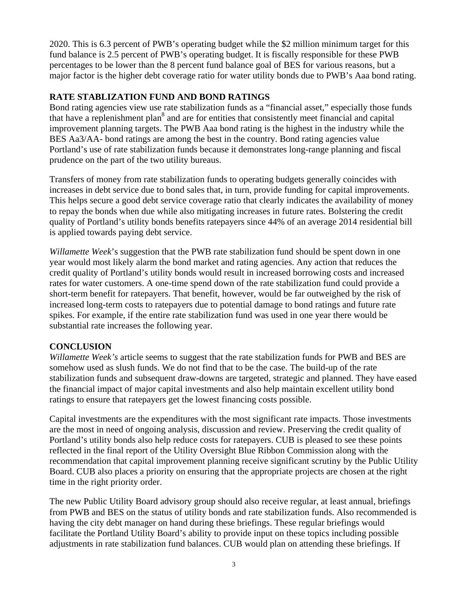2020. This is 6.3 percent of PWB's operating budget while the \$2 million minimum target for this fund balance is 2.5 percent of PWB's operating budget. It is fiscally responsible for these PWB percentages to be lower than the 8 percent fund balance goal of BES for various reasons, but a major factor is the higher debt coverage ratio for water utility bonds due to PWB's Aaa bond rating.

# **RATE STABLIZATION FUND AND BOND RATINGS**

Bond rating agencies view use rate stabilization funds as a "financial asset," especially those funds that have a replenishment plan<sup>8</sup> and are for entities that consistently meet financial and capital improvement planning targets. The PWB Aaa bond rating is the highest in the industry while the BES Aa3/AA- bond ratings are among the best in the country. Bond rating agencies value Portland's use of rate stabilization funds because it demonstrates long-range planning and fiscal prudence on the part of the two utility bureaus.

Transfers of money from rate stabilization funds to operating budgets generally coincides with increases in debt service due to bond sales that, in turn, provide funding for capital improvements. This helps secure a good debt service coverage ratio that clearly indicates the availability of money to repay the bonds when due while also mitigating increases in future rates. Bolstering the credit quality of Portland's utility bonds benefits ratepayers since 44% of an average 2014 residential bill is applied towards paying debt service.

*Willamette Week*'s suggestion that the PWB rate stabilization fund should be spent down in one year would most likely alarm the bond market and rating agencies. Any action that reduces the credit quality of Portland's utility bonds would result in increased borrowing costs and increased rates for water customers. A one-time spend down of the rate stabilization fund could provide a short-term benefit for ratepayers. That benefit, however, would be far outweighed by the risk of increased long-term costs to ratepayers due to potential damage to bond ratings and future rate spikes. For example, if the entire rate stabilization fund was used in one year there would be substantial rate increases the following year.

## **CONCLUSION**

*Willamette Week's* article seems to suggest that the rate stabilization funds for PWB and BES are somehow used as slush funds. We do not find that to be the case. The build-up of the rate stabilization funds and subsequent draw-downs are targeted, strategic and planned. They have eased the financial impact of major capital investments and also help maintain excellent utility bond ratings to ensure that ratepayers get the lowest financing costs possible.

Capital investments are the expenditures with the most significant rate impacts. Those investments are the most in need of ongoing analysis, discussion and review. Preserving the credit quality of Portland's utility bonds also help reduce costs for ratepayers. CUB is pleased to see these points reflected in the final report of the Utility Oversight Blue Ribbon Commission along with the recommendation that capital improvement planning receive significant scrutiny by the Public Utility Board. CUB also places a priority on ensuring that the appropriate projects are chosen at the right time in the right priority order.

The new Public Utility Board advisory group should also receive regular, at least annual, briefings from PWB and BES on the status of utility bonds and rate stabilization funds. Also recommended is having the city debt manager on hand during these briefings. These regular briefings would facilitate the Portland Utility Board's ability to provide input on these topics including possible adjustments in rate stabilization fund balances. CUB would plan on attending these briefings. If